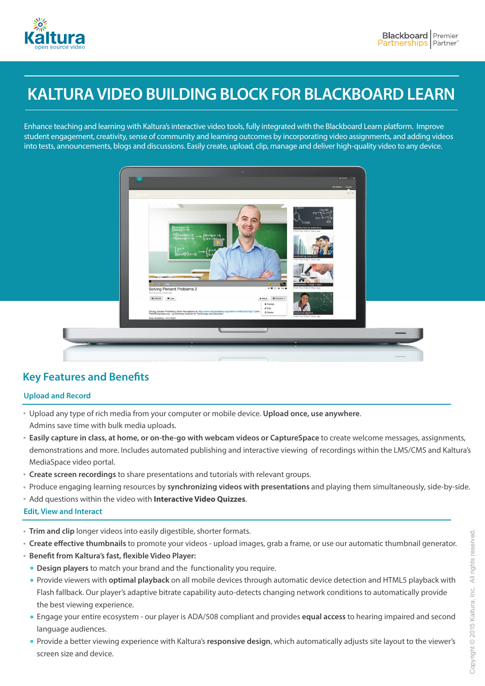

## **KALTURA VIDEO BUILDING BLOCK FOR BLACKBOARD LEARN**

Enhance teaching and learning with Kaltura's interactive video tools, fully integrated with the Blackboard Learn platform. Improve student engagement, creativity, sense of community and learning outcomes by incorporating video assignments, and adding videos into tests, announcements, blogs and discussions. Easily create, upload, clip, manage and deliver high-quality video to any device.



### **Key Features and Benefits**

#### **Upload and Record**

- Upload any type of rich media from your computer or mobile device. **Upload once, use anywhere**. Admins save time with bulk media uploads.
- **Easily capture in class, at home, or on-the-go with webcam videos or CaptureSpace** to create welcome messages, assignments, demonstrations and more. Includes automated publishing and interactive viewing of recordings within the LMS/CMS and Kaltura's MediaSpace video portal.
- **Create screen recordings** to share presentations and tutorials with relevant groups.
- Produce engaging learning resources by **synchronizing videos with presentations** and playing them simultaneously, side-by-side.
- Add questions within the video with **Interactive Video Quizzes**.

#### **Edit, View and Interact**

- **Trim and clip** longer videos into easily digestible, shorter formats.
- Create effective thumbnails to promote your videos upload images, grab a frame, or use our automatic thumbnail generator.
- **Benefit from Kaltura's fast, flexible Video Player:**
- **Design players** to match your brand and the functionality you require.
- Provide viewers with **optimal playback** on all mobile devices through automatic device detection and HTML5 playback with Flash fallback. Our player's adaptive bitrate capability auto-detects changing network conditions to automatically provide the best viewing experience.
- Engage your entire ecosystem our player is ADA/508 compliant and provides **equal access** to hearing impaired and second language audiences.
- Provide a better viewing experience with Kaltura's **responsive design**, which automatically adjusts site layout to the viewer's screen size and device.